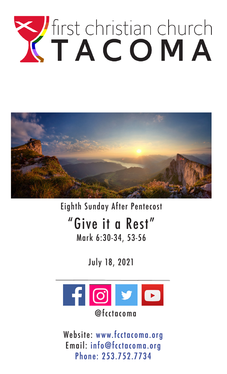# The Community



Eighth Sunday After Pentecost "Give it a Rest" Mark 6:30-34, 53-56

July 18, 2021



Website: www.fcctacoma.org Email: info@fcctacoma.org Phone: 253.752.7734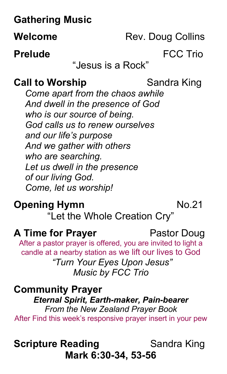# **Gathering Music**

**Welcome** Rev. Doug Collins

## **Prelude** FCC Trio

"Jesus is a Rock"

## **Call to Worship <b>Sandra** King

*Come apart from the chaos awhile And dwell in the presence of God who is our source of being. God calls us to renew ourselves and our life's purpose And we gather with others who are searching. Let us dwell in the presence of our living God. Come, let us worship!*

#### **Opening Hymn** No.21

"Let the Whole Creation Cry"

#### **A Time for Prayer** Pastor Doug

After a pastor prayer is offered, you are invited to light a candle at a nearby station as we lift our lives to God

*"Turn Your Eyes Upon Jesus" Music by FCC Trio*

**Community Prayer**  *Eternal Spirit, Earth-maker, Pain-bearer From the New Zealand Prayer Book* After Find this week's responsive prayer insert in your pew

# **Scripture Reading 6 Sandra King Mark 6:30-34, 53-56**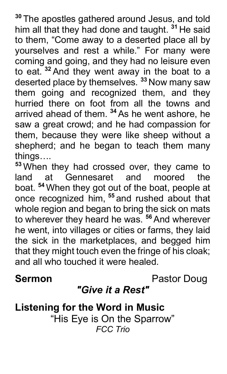**<sup>30</sup>** The apostles gathered around Jesus, and told him all that they had done and taught. **<sup>31</sup>** He said to them, "Come away to a deserted place all by yourselves and rest a while." For many were coming and going, and they had no leisure even to eat. **<sup>32</sup>** And they went away in the boat to a deserted place by themselves. **<sup>33</sup>** Now many saw them going and recognized them, and they hurried there on foot from all the towns and arrived ahead of them. **<sup>34</sup>** As he went ashore, he saw a great crowd; and he had compassion for them, because they were like sheep without a shepherd; and he began to teach them many things….

**<sup>53</sup>** When they had crossed over, they came to land at Gennesaret and moored the boat. **<sup>54</sup>** When they got out of the boat, people at once recognized him, **<sup>55</sup>** and rushed about that whole region and began to bring the sick on mats to wherever they heard he was. **<sup>56</sup>** And wherever he went, into villages or cities or farms, they laid the sick in the marketplaces, and begged him that they might touch even the fringe of his cloak; and all who touched it were healed.

**Sermon Pastor Doug** 

# *"Give it a Rest"*

**Listening for the Word in Music** "His Eye is On the Sparrow" *FCC Trio*